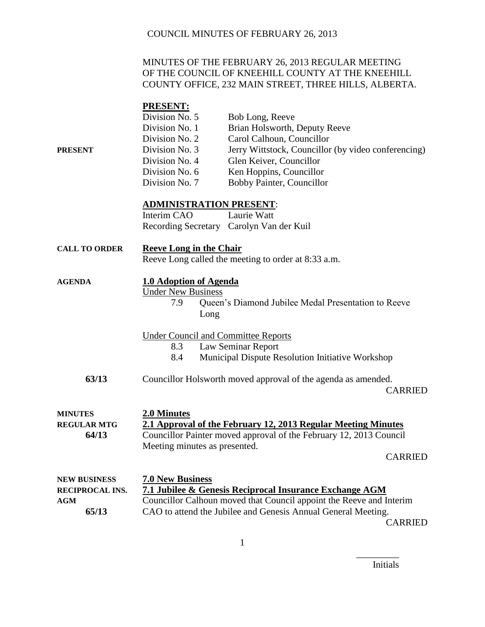#### MINUTES OF THE FEBRUARY 26, 2013 REGULAR MEETING OF THE COUNCIL OF KNEEHILL COUNTY AT THE KNEEHILL COUNTY OFFICE, 232 MAIN STREET, THREE HILLS, ALBERTA.

# **PRESENT:**<br>Division No. 5 Bob Long, Reeve Division No. 1 Brian Holsworth, Deputy Reeve Division No. 2 Carol Calhoun, Councillor **PRESENT** Division No. 3 Jerry Wittstock, Councillor (by video conferencing) Division No. 4 Glen Keiver, Councillor Division No. 6 Ken Hoppins, Councillor Division No. 7 Bobby Painter, Councillor **ADMINISTRATION PRESENT**: Interim CAO Laurie Watt Recording Secretary Carolyn Van der Kuil **CALL TO ORDER Reeve Long in the Chair** Reeve Long called the meeting to order at 8:33 a.m. **AGENDA 1.0 Adoption of Agenda** Under New Business 7.9 Queen's Diamond Jubilee Medal Presentation to Reeve Long Under Council and Committee Reports 8.3 Law Seminar Report 8.4 Municipal Dispute Resolution Initiative Workshop **63/13** Councillor Holsworth moved approval of the agenda as amended. CARRIED **MINUTES 2.0 Minutes REGULAR MTG 2.1 Approval of the February 12, 2013 Regular Meeting Minutes 64/13** Councillor Painter moved approval of the February 12, 2013 Council Meeting minutes as presented. CARRIED **NEW BUSINESS 7.0 New Business RECIPROCAL INS. 7.1 Jubilee & Genesis Reciprocal Insurance Exchange AGM**

**AGM** Councillor Calhoun moved that Council appoint the Reeve and Interim **65/13** CAO to attend the Jubilee and Genesis Annual General Meeting. CARRIED

Initials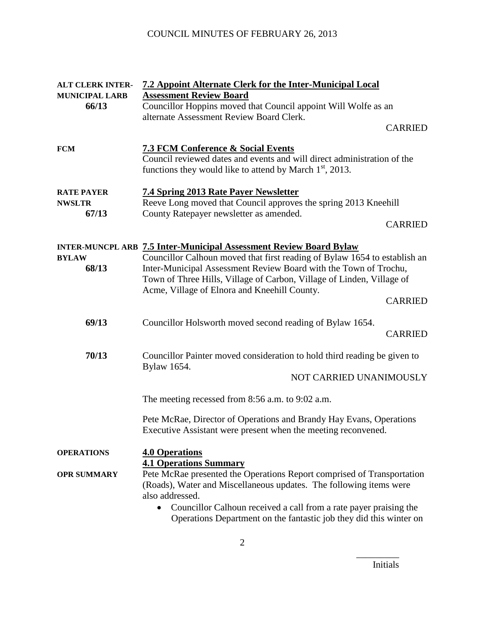| <b>ALT CLERK INTER-</b><br><b>MUNICIPAL LARB</b> | <b>7.2 Appoint Alternate Clerk for the Inter-Municipal Local</b><br><b>Assessment Review Board</b>                                                                                                                                                                                                                                                  |                |
|--------------------------------------------------|-----------------------------------------------------------------------------------------------------------------------------------------------------------------------------------------------------------------------------------------------------------------------------------------------------------------------------------------------------|----------------|
| 66/13                                            | Councillor Hoppins moved that Council appoint Will Wolfe as an<br>alternate Assessment Review Board Clerk.                                                                                                                                                                                                                                          |                |
|                                                  |                                                                                                                                                                                                                                                                                                                                                     | <b>CARRIED</b> |
| <b>FCM</b>                                       | <b>7.3 FCM Conference &amp; Social Events</b><br>Council reviewed dates and events and will direct administration of the<br>functions they would like to attend by March $1st$ , 2013.                                                                                                                                                              |                |
| <b>RATE PAYER</b><br><b>NWSLTR</b>               | <b>7.4 Spring 2013 Rate Payer Newsletter</b><br>Reeve Long moved that Council approves the spring 2013 Kneehill                                                                                                                                                                                                                                     |                |
| 67/13                                            | County Ratepayer newsletter as amended.                                                                                                                                                                                                                                                                                                             | <b>CARRIED</b> |
| <b>BYLAW</b><br>68/13                            | <b>INTER-MUNCPL ARB 7.5 Inter-Municipal Assessment Review Board Bylaw</b><br>Councillor Calhoun moved that first reading of Bylaw 1654 to establish an<br>Inter-Municipal Assessment Review Board with the Town of Trochu,<br>Town of Three Hills, Village of Carbon, Village of Linden, Village of<br>Acme, Village of Elnora and Kneehill County. |                |
|                                                  |                                                                                                                                                                                                                                                                                                                                                     | <b>CARRIED</b> |
| 69/13                                            | Councillor Holsworth moved second reading of Bylaw 1654.                                                                                                                                                                                                                                                                                            | <b>CARRIED</b> |
| 70/13                                            | Councillor Painter moved consideration to hold third reading be given to<br>Bylaw 1654.                                                                                                                                                                                                                                                             |                |
|                                                  | NOT CARRIED UNANIMOUSLY                                                                                                                                                                                                                                                                                                                             |                |
|                                                  | The meeting recessed from $8:56$ a.m. to $9:02$ a.m.                                                                                                                                                                                                                                                                                                |                |
|                                                  | Pete McRae, Director of Operations and Brandy Hay Evans, Operations<br>Executive Assistant were present when the meeting reconvened.                                                                                                                                                                                                                |                |
| <b>OPERATIONS</b>                                | <b>4.0 Operations</b><br><b>4.1 Operations Summary</b>                                                                                                                                                                                                                                                                                              |                |
| <b>OPR SUMMARY</b>                               | Pete McRae presented the Operations Report comprised of Transportation<br>(Roads), Water and Miscellaneous updates. The following items were<br>also addressed.<br>Councillor Calhoun received a call from a rate payer praising the<br>$\bullet$<br>Operations Department on the fantastic job they did this winter on                             |                |
|                                                  |                                                                                                                                                                                                                                                                                                                                                     |                |

Initials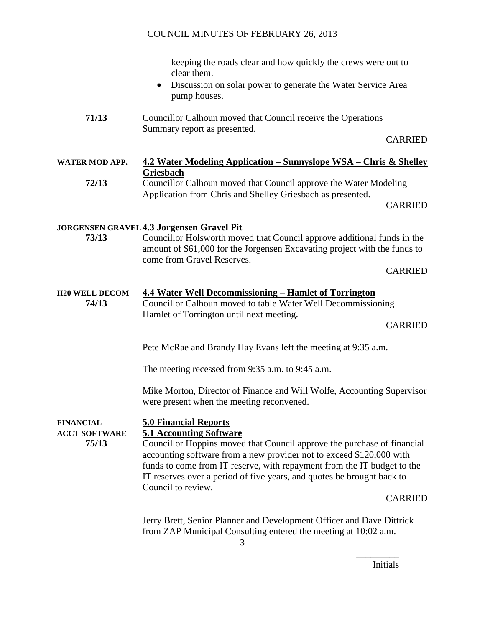|                                                   | keeping the roads clear and how quickly the crews were out to<br>clear them.<br>Discussion on solar power to generate the Water Service Area<br>$\bullet$<br>pump houses.                                                                                                                                                  |                |
|---------------------------------------------------|----------------------------------------------------------------------------------------------------------------------------------------------------------------------------------------------------------------------------------------------------------------------------------------------------------------------------|----------------|
| 71/13                                             | Councillor Calhoun moved that Council receive the Operations<br>Summary report as presented.                                                                                                                                                                                                                               | <b>CARRIED</b> |
|                                                   |                                                                                                                                                                                                                                                                                                                            |                |
| <b>WATER MOD APP.</b>                             | <u> 4.2 Water Modeling Application – Sunnyslope WSA – Chris &amp; Shelley</u><br><b>Griesbach</b>                                                                                                                                                                                                                          |                |
| 72/13                                             | Councillor Calhoun moved that Council approve the Water Modeling                                                                                                                                                                                                                                                           |                |
|                                                   | Application from Chris and Shelley Griesbach as presented.                                                                                                                                                                                                                                                                 | <b>CARRIED</b> |
|                                                   | <b>JORGENSEN GRAVEL 4.3 Jorgensen Gravel Pit</b>                                                                                                                                                                                                                                                                           |                |
| 73/13                                             | Councillor Holsworth moved that Council approve additional funds in the<br>amount of \$61,000 for the Jorgensen Excavating project with the funds to<br>come from Gravel Reserves.                                                                                                                                         |                |
|                                                   |                                                                                                                                                                                                                                                                                                                            | <b>CARRIED</b> |
| <b>H20 WELL DECOM</b><br>74/13                    | <b>4.4 Water Well Decommissioning – Hamlet of Torrington</b><br>Councillor Calhoun moved to table Water Well Decommissioning –<br>Hamlet of Torrington until next meeting.                                                                                                                                                 |                |
|                                                   |                                                                                                                                                                                                                                                                                                                            | <b>CARRIED</b> |
|                                                   | Pete McRae and Brandy Hay Evans left the meeting at 9:35 a.m.                                                                                                                                                                                                                                                              |                |
|                                                   | The meeting recessed from 9:35 a.m. to 9:45 a.m.                                                                                                                                                                                                                                                                           |                |
|                                                   | Mike Morton, Director of Finance and Will Wolfe, Accounting Supervisor<br>were present when the meeting reconvened.                                                                                                                                                                                                        |                |
| <b>FINANCIAL</b><br><b>ACCT SOFTWARE</b><br>75/13 | <b>5.0 Financial Reports</b><br><b>5.1 Accounting Software</b>                                                                                                                                                                                                                                                             |                |
|                                                   | Councillor Hoppins moved that Council approve the purchase of financial<br>accounting software from a new provider not to exceed \$120,000 with<br>funds to come from IT reserve, with repayment from the IT budget to the<br>IT reserves over a period of five years, and quotes be brought back to<br>Council to review. |                |
|                                                   |                                                                                                                                                                                                                                                                                                                            | <b>CARRIED</b> |
|                                                   | Jerry Brett, Senior Planner and Development Officer and Dave Dittrick<br>from ZAP Municipal Consulting entered the meeting at 10:02 a.m.                                                                                                                                                                                   |                |

Initials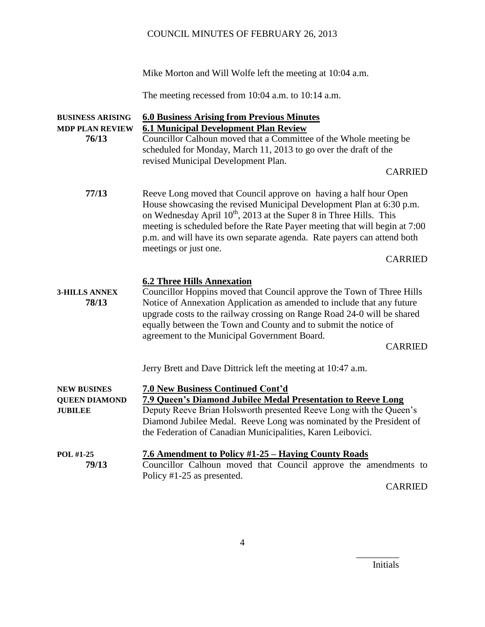Mike Morton and Will Wolfe left the meeting at 10:04 a.m.

The meeting recessed from 10:04 a.m. to 10:14 a.m.

| <b>BUSINESS ARISING</b><br><b>MDP PLAN REVIEW</b><br>76/13   | <b>6.0 Business Arising from Previous Minutes</b><br><b>6.1 Municipal Development Plan Review</b><br>Councillor Calhoun moved that a Committee of the Whole meeting be<br>scheduled for Monday, March 11, 2013 to go over the draft of the<br>revised Municipal Development Plan.                                                                                                                                              |
|--------------------------------------------------------------|--------------------------------------------------------------------------------------------------------------------------------------------------------------------------------------------------------------------------------------------------------------------------------------------------------------------------------------------------------------------------------------------------------------------------------|
|                                                              | <b>CARRIED</b>                                                                                                                                                                                                                                                                                                                                                                                                                 |
| 77/13                                                        | Reeve Long moved that Council approve on having a half hour Open<br>House showcasing the revised Municipal Development Plan at 6:30 p.m.<br>on Wednesday April 10 <sup>th</sup> , 2013 at the Super 8 in Three Hills. This<br>meeting is scheduled before the Rate Payer meeting that will begin at 7:00<br>p.m. and will have its own separate agenda. Rate payers can attend both<br>meetings or just one.<br><b>CARRIED</b> |
| <b>3-HILLS ANNEX</b><br>78/13                                | <b>6.2 Three Hills Annexation</b><br>Councillor Hoppins moved that Council approve the Town of Three Hills<br>Notice of Annexation Application as amended to include that any future<br>upgrade costs to the railway crossing on Range Road 24-0 will be shared<br>equally between the Town and County and to submit the notice of<br>agreement to the Municipal Government Board.<br><b>CARRIED</b>                           |
|                                                              | Jerry Brett and Dave Dittrick left the meeting at 10:47 a.m.                                                                                                                                                                                                                                                                                                                                                                   |
| <b>NEW BUSINES</b><br><b>QUEEN DIAMOND</b><br><b>JUBILEE</b> | 7.0 New Business Continued Cont'd<br>7.9 Queen's Diamond Jubilee Medal Presentation to Reeve Long<br>Deputy Reeve Brian Holsworth presented Reeve Long with the Queen's<br>Diamond Jubilee Medal. Reeve Long was nominated by the President of<br>the Federation of Canadian Municipalities, Karen Leibovici.                                                                                                                  |
| POL #1-25<br>79/13                                           | 7.6 Amendment to Policy #1-25 – Haying County Roads<br>Councillor Calhoun moved that Council approve the amendments to<br>Policy #1-25 as presented.<br><b>CARRIED</b>                                                                                                                                                                                                                                                         |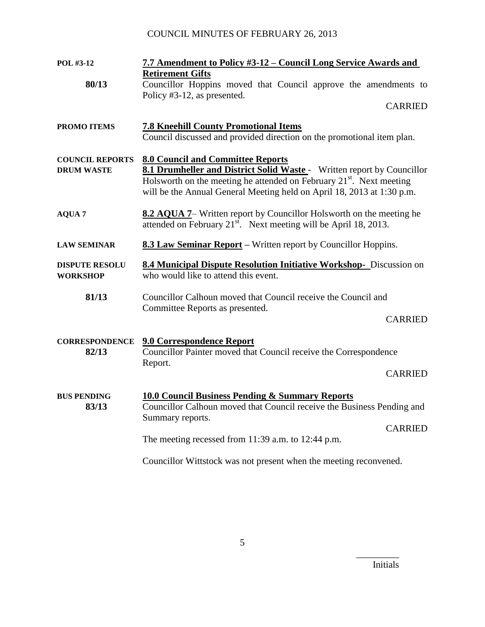| POL #3-12                                   | 7.7 Amendment to Policy #3-12 - Council Long Service Awards and                                                                                                                                                                                                                  |  |
|---------------------------------------------|----------------------------------------------------------------------------------------------------------------------------------------------------------------------------------------------------------------------------------------------------------------------------------|--|
| 80/13                                       | <b>Retirement Gifts</b><br>Councillor Hoppins moved that Council approve the amendments to<br>Policy #3-12, as presented.                                                                                                                                                        |  |
|                                             | <b>CARRIED</b>                                                                                                                                                                                                                                                                   |  |
| <b>PROMO ITEMS</b>                          | <b>7.8 Kneehill County Promotional Items</b><br>Council discussed and provided direction on the promotional item plan.                                                                                                                                                           |  |
| <b>COUNCIL REPORTS</b><br><b>DRUM WASTE</b> | <b>8.0 Council and Committee Reports</b><br>8.1 Drumheller and District Solid Waste - Written report by Councillor<br>Holsworth on the meeting he attended on February 21 <sup>st</sup> . Next meeting<br>will be the Annual General Meeting held on April 18, 2013 at 1:30 p.m. |  |
| <b>AQUA 7</b>                               | 8.2 AQUA 7– Written report by Councillor Holsworth on the meeting he<br>attended on February $21st$ . Next meeting will be April 18, 2013.                                                                                                                                       |  |
| <b>LAW SEMINAR</b>                          | <b>8.3 Law Seminar Report</b> – Written report by Councillor Hoppins.                                                                                                                                                                                                            |  |
| <b>DISPUTE RESOLU</b><br><b>WORKSHOP</b>    | 8.4 Municipal Dispute Resolution Initiative Workshop- Discussion on<br>who would like to attend this event.                                                                                                                                                                      |  |
| 81/13                                       | Councillor Calhoun moved that Council receive the Council and<br>Committee Reports as presented.                                                                                                                                                                                 |  |
|                                             | <b>CARRIED</b>                                                                                                                                                                                                                                                                   |  |
| <b>CORRESPONDENCE</b><br>82/13              | <b>9.0 Correspondence Report</b><br>Councillor Painter moved that Council receive the Correspondence<br>Report.                                                                                                                                                                  |  |
|                                             | <b>CARRIED</b>                                                                                                                                                                                                                                                                   |  |
| <b>BUS PENDING</b><br>83/13                 | <b>10.0 Council Business Pending &amp; Summary Reports</b><br>Councillor Calhoun moved that Council receive the Business Pending and<br>Summary reports.                                                                                                                         |  |
|                                             | <b>CARRIED</b><br>The meeting recessed from 11:39 a.m. to 12:44 p.m.                                                                                                                                                                                                             |  |
|                                             | Councillor Wittstock was not present when the meeting reconvened.                                                                                                                                                                                                                |  |